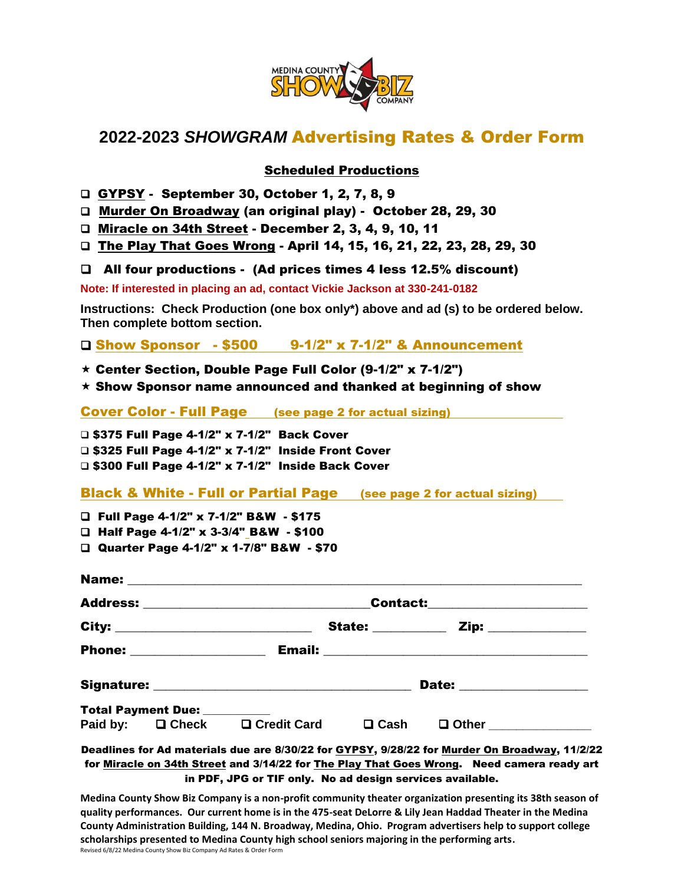

## **2022-2023** *SHOWGRAM* Advertising Rates & Order Form

## Scheduled Productions

GYPSY - September 30, October 1, 2, 7, 8, 9

Murder On Broadway (an original play) - October 28, 29, 30

□ Miracle on 34th Street - December 2, 3, 4, 9, 10, 11

□ The Play That Goes Wrong - April 14, 15, 16, 21, 22, 23, 28, 29, 30

All four productions - (Ad prices times 4 less 12.5% discount)

**Note: If interested in placing an ad, contact Vickie Jackson at 330-241-0182**

**Instructions: Check Production (one box only\*) above and ad (s) to be ordered below. Then complete bottom section.**

Show Sponsor - \$500 9-1/2" x 7-1/2" & Announcement

 $\star$  Center Section, Double Page Full Color (9-1/2" x 7-1/2")

 $\star$  Show Sponsor name announced and thanked at beginning of show

Cover Color - Full Page (see page 2 for actual sizing)

□ \$375 Full Page 4-1/2" x 7-1/2" Back Cover  $\square$  \$325 Full Page 4-1/2" x 7-1/2" Inside Front Cover □ \$300 Full Page 4-1/2" x 7-1/2" Inside Back Cover

Black & White - Full or Partial Page (see page 2 for actual sizing)

Full Page 4-1/2" x 7-1/2" B&W - \$175

Half Page 4-1/2" x 3-3/4" B&W - \$100

Quarter Page 4-1/2" x 1-7/8" B&W - \$70

|  |                              | Contact:____________________   |                          |                                |                    |
|--|------------------------------|--------------------------------|--------------------------|--------------------------------|--------------------|
|  |                              |                                | <b>State: __________</b> |                                | Zip: _____________ |
|  | Phone: __________________    |                                |                          |                                |                    |
|  |                              |                                |                          | Date: _______________          |                    |
|  | Total Payment Due: _________ | Paid by: □ Check □ Credit Card | $\square$ Cash           | <b>Q</b> Other _______________ |                    |

Deadlines for Ad materials due are 8/30/22 for GYPSY, 9/28/22 for Murder On Broadway, 11/2/22 for Miracle on 34th Street and 3/14/22 for The Play That Goes Wrong. Need camera ready art in PDF, JPG or TIF only. No ad design services available.

**Medina County Show Biz Company is a non-profit community theater organization presenting its 38th season of quality performances. Our current home is in the 475-seat DeLorre & Lily Jean Haddad Theater in the Medina County Administration Building, 144 N. Broadway, Medina, Ohio. Program advertisers help to support college scholarships presented to Medina County high school seniors majoring in the performing arts.** Revised 6/8/22 Medina County Show Biz Company Ad Rates & Order Form